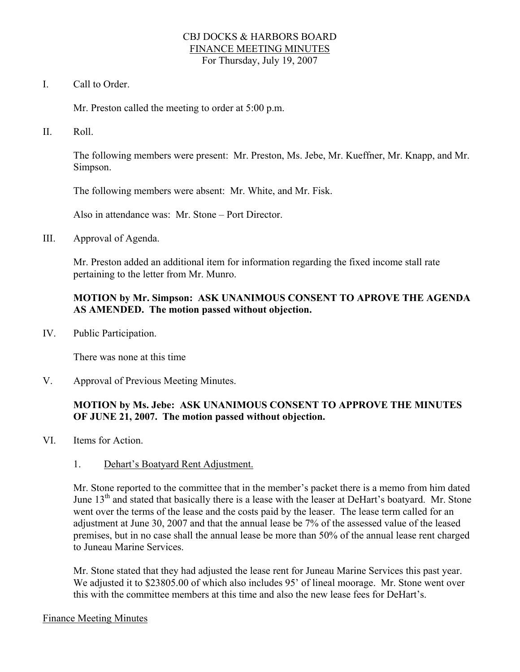### CBJ DOCKS & HARBORS BOARD FINANCE MEETING MINUTES For Thursday, July 19, 2007

I. Call to Order.

Mr. Preston called the meeting to order at 5:00 p.m.

II. Roll.

The following members were present: Mr. Preston, Ms. Jebe, Mr. Kueffner, Mr. Knapp, and Mr. Simpson.

The following members were absent: Mr. White, and Mr. Fisk.

Also in attendance was: Mr. Stone – Port Director.

III. Approval of Agenda.

Mr. Preston added an additional item for information regarding the fixed income stall rate pertaining to the letter from Mr. Munro.

## **MOTION by Mr. Simpson: ASK UNANIMOUS CONSENT TO APROVE THE AGENDA AS AMENDED. The motion passed without objection.**

IV. Public Participation.

There was none at this time

V. Approval of Previous Meeting Minutes.

## **MOTION by Ms. Jebe: ASK UNANIMOUS CONSENT TO APPROVE THE MINUTES OF JUNE 21, 2007. The motion passed without objection.**

- VI. Items for Action.
	- 1. Dehart's Boatyard Rent Adjustment.

Mr. Stone reported to the committee that in the member's packet there is a memo from him dated June 13<sup>th</sup> and stated that basically there is a lease with the leaser at DeHart's boatyard. Mr. Stone went over the terms of the lease and the costs paid by the leaser. The lease term called for an adjustment at June 30, 2007 and that the annual lease be 7% of the assessed value of the leased premises, but in no case shall the annual lease be more than 50% of the annual lease rent charged to Juneau Marine Services.

Mr. Stone stated that they had adjusted the lease rent for Juneau Marine Services this past year. We adjusted it to \$23805.00 of which also includes 95' of lineal moorage. Mr. Stone went over this with the committee members at this time and also the new lease fees for DeHart's.

#### Finance Meeting Minutes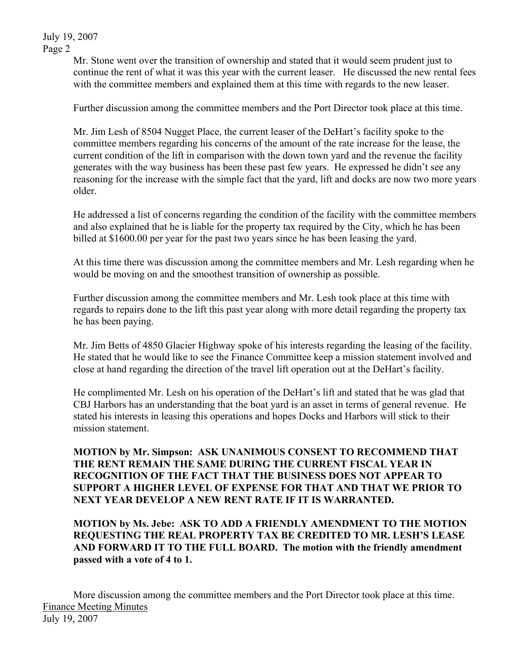July 19, 2007 Page 2

> Mr. Stone went over the transition of ownership and stated that it would seem prudent just to continue the rent of what it was this year with the current leaser. He discussed the new rental fees with the committee members and explained them at this time with regards to the new leaser.

Further discussion among the committee members and the Port Director took place at this time.

Mr. Jim Lesh of 8504 Nugget Place, the current leaser of the DeHart's facility spoke to the committee members regarding his concerns of the amount of the rate increase for the lease, the current condition of the lift in comparison with the down town yard and the revenue the facility generates with the way business has been these past few years. He expressed he didn't see any reasoning for the increase with the simple fact that the yard, lift and docks are now two more years older.

He addressed a list of concerns regarding the condition of the facility with the committee members and also explained that he is liable for the property tax required by the City, which he has been billed at \$1600.00 per year for the past two years since he has been leasing the yard.

At this time there was discussion among the committee members and Mr. Lesh regarding when he would be moving on and the smoothest transition of ownership as possible.

Further discussion among the committee members and Mr. Lesh took place at this time with regards to repairs done to the lift this past year along with more detail regarding the property tax he has been paying.

Mr. Jim Betts of 4850 Glacier Highway spoke of his interests regarding the leasing of the facility. He stated that he would like to see the Finance Committee keep a mission statement involved and close at hand regarding the direction of the travel lift operation out at the DeHart's facility.

He complimented Mr. Lesh on his operation of the DeHart's lift and stated that he was glad that CBJ Harbors has an understanding that the boat yard is an asset in terms of general revenue. He stated his interests in leasing this operations and hopes Docks and Harbors will stick to their mission statement.

**MOTION by Mr. Simpson: ASK UNANIMOUS CONSENT TO RECOMMEND THAT THE RENT REMAIN THE SAME DURING THE CURRENT FISCAL YEAR IN RECOGNITION OF THE FACT THAT THE BUSINESS DOES NOT APPEAR TO SUPPORT A HIGHER LEVEL OF EXPENSE FOR THAT AND THAT WE PRIOR TO NEXT YEAR DEVELOP A NEW RENT RATE IF IT IS WARRANTED.** 

**MOTION by Ms. Jebe: ASK TO ADD A FRIENDLY AMENDMENT TO THE MOTION REQUESTING THE REAL PROPERTY TAX BE CREDITED TO MR. LESH'S LEASE AND FORWARD IT TO THE FULL BOARD. The motion with the friendly amendment passed with a vote of 4 to 1.** 

More discussion among the committee members and the Port Director took place at this time. Finance Meeting Minutes July 19, 2007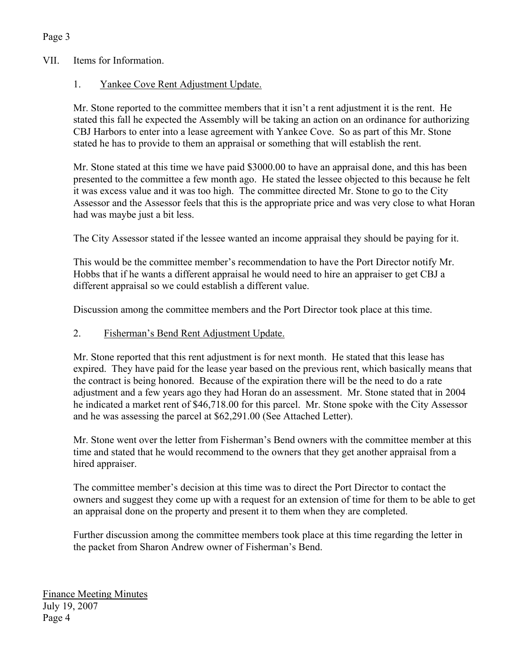# VII. Items for Information.

Page 3

## 1. Yankee Cove Rent Adjustment Update.

Mr. Stone reported to the committee members that it isn't a rent adjustment it is the rent. He stated this fall he expected the Assembly will be taking an action on an ordinance for authorizing CBJ Harbors to enter into a lease agreement with Yankee Cove. So as part of this Mr. Stone stated he has to provide to them an appraisal or something that will establish the rent.

Mr. Stone stated at this time we have paid \$3000.00 to have an appraisal done, and this has been presented to the committee a few month ago. He stated the lessee objected to this because he felt it was excess value and it was too high. The committee directed Mr. Stone to go to the City Assessor and the Assessor feels that this is the appropriate price and was very close to what Horan had was maybe just a bit less.

The City Assessor stated if the lessee wanted an income appraisal they should be paying for it.

This would be the committee member's recommendation to have the Port Director notify Mr. Hobbs that if he wants a different appraisal he would need to hire an appraiser to get CBJ a different appraisal so we could establish a different value.

Discussion among the committee members and the Port Director took place at this time.

## 2. Fisherman's Bend Rent Adjustment Update.

Mr. Stone reported that this rent adjustment is for next month. He stated that this lease has expired. They have paid for the lease year based on the previous rent, which basically means that the contract is being honored. Because of the expiration there will be the need to do a rate adjustment and a few years ago they had Horan do an assessment. Mr. Stone stated that in 2004 he indicated a market rent of \$46,718.00 for this parcel. Mr. Stone spoke with the City Assessor and he was assessing the parcel at \$62,291.00 (See Attached Letter).

Mr. Stone went over the letter from Fisherman's Bend owners with the committee member at this time and stated that he would recommend to the owners that they get another appraisal from a hired appraiser.

The committee member's decision at this time was to direct the Port Director to contact the owners and suggest they come up with a request for an extension of time for them to be able to get an appraisal done on the property and present it to them when they are completed.

Further discussion among the committee members took place at this time regarding the letter in the packet from Sharon Andrew owner of Fisherman's Bend.

Finance Meeting Minutes July 19, 2007 Page 4